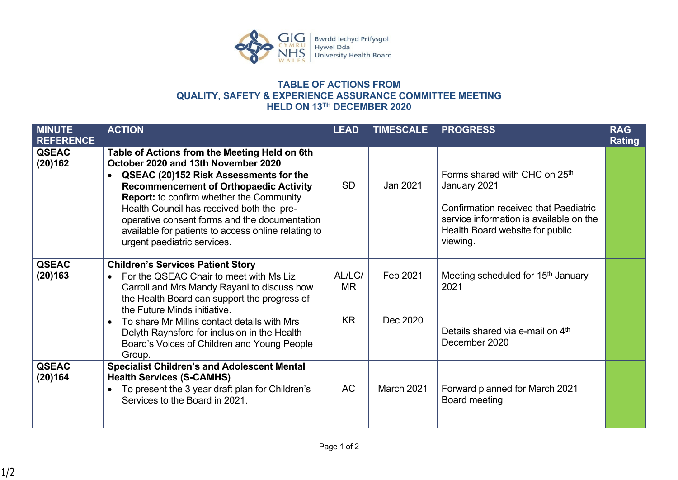

## **TABLE OF ACTIONS FROM QUALITY, SAFETY & EXPERIENCE ASSURANCE COMMITTEE MEETING HELD ON 13TH DECEMBER 2020**

| <b>MINUTE</b><br><b>REFERENCE</b> | <b>ACTION</b>                                                                                                                                                                                                                                                                                                                                                                                                                       | <b>LEAD</b>                      | <b>TIMESCALE</b>     | <b>PROGRESS</b>                                                                                                                                                                                     | <b>RAG</b><br><b>Rating</b> |
|-----------------------------------|-------------------------------------------------------------------------------------------------------------------------------------------------------------------------------------------------------------------------------------------------------------------------------------------------------------------------------------------------------------------------------------------------------------------------------------|----------------------------------|----------------------|-----------------------------------------------------------------------------------------------------------------------------------------------------------------------------------------------------|-----------------------------|
| <b>QSEAC</b><br>(20)162           | Table of Actions from the Meeting Held on 6th<br>October 2020 and 13th November 2020<br>QSEAC (20)152 Risk Assessments for the<br>$\bullet$<br><b>Recommencement of Orthopaedic Activity</b><br><b>Report:</b> to confirm whether the Community<br>Health Council has received both the pre-<br>operative consent forms and the documentation<br>available for patients to access online relating to<br>urgent paediatric services. | <b>SD</b>                        | Jan 2021             | Forms shared with CHC on 25 <sup>th</sup><br>January 2021<br><b>Confirmation received that Paediatric</b><br>service information is available on the<br>Health Board website for public<br>viewing. |                             |
| <b>QSEAC</b><br>(20)163           | <b>Children's Services Patient Story</b><br>For the QSEAC Chair to meet with Ms Liz<br>$\bullet$<br>Carroll and Mrs Mandy Rayani to discuss how<br>the Health Board can support the progress of<br>the Future Minds initiative.<br>To share Mr Millns contact details with Mrs<br>$\bullet$<br>Delyth Raynsford for inclusion in the Health<br>Board's Voices of Children and Young People<br>Group.                                | AL/LC/<br><b>MR</b><br><b>KR</b> | Feb 2021<br>Dec 2020 | Meeting scheduled for 15 <sup>th</sup> January<br>2021<br>Details shared via e-mail on 4 <sup>th</sup><br>December 2020                                                                             |                             |
| <b>QSEAC</b><br>(20)164           | <b>Specialist Children's and Adolescent Mental</b><br><b>Health Services (S-CAMHS)</b><br>To present the 3 year draft plan for Children's<br>$\bullet$<br>Services to the Board in 2021.                                                                                                                                                                                                                                            | <b>AC</b>                        | <b>March 2021</b>    | Forward planned for March 2021<br>Board meeting                                                                                                                                                     |                             |